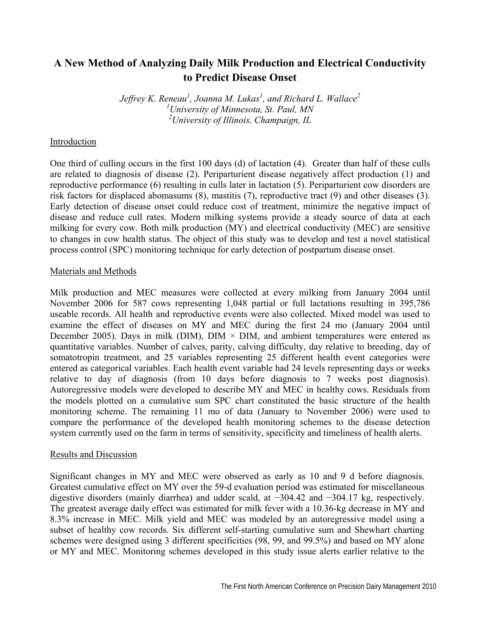# **A New Method of Analyzing Daily Milk Production and Electrical Conductivity to Predict Disease Onset**

*Jeffrey K. Reneau1 , Joanna M. Lukas<sup>1</sup> , and Richard L. Wallace2 1 University of Minnesota, St. Paul, MN 2 University of Illinois, Champaign, IL* 

## Introduction

One third of culling occurs in the first 100 days (d) of lactation (4). Greater than half of these culls are related to diagnosis of disease (2). Periparturient disease negatively affect production (1) and reproductive performance (6) resulting in culls later in lactation (5). Periparturient cow disorders are risk factors for displaced abomasums (8), mastitis (7), reproductive tract (9) and other diseases (3). Early detection of disease onset could reduce cost of treatment, minimize the negative impact of disease and reduce cull rates. Modern milking systems provide a steady source of data at each milking for every cow. Both milk production (MY) and electrical conductivity (MEC) are sensitive to changes in cow health status. The object of this study was to develop and test a novel statistical process control (SPC) monitoring technique for early detection of postpartum disease onset.

### Materials and Methods

Milk production and MEC measures were collected at every milking from January 2004 until November 2006 for 587 cows representing 1,048 partial or full lactations resulting in 395,786 useable records. All health and reproductive events were also collected. Mixed model was used to examine the effect of diseases on MY and MEC during the first 24 mo (January 2004 until December 2005). Days in milk (DIM),  $DIM \times DIM$ , and ambient temperatures were entered as quantitative variables. Number of calves, parity, calving difficulty, day relative to breeding, day of somatotropin treatment, and 25 variables representing 25 different health event categories were entered as categorical variables. Each health event variable had 24 levels representing days or weeks relative to day of diagnosis (from 10 days before diagnosis to 7 weeks post diagnosis). Autoregressive models were developed to describe MY and MEC in healthy cows. Residuals from the models plotted on a cumulative sum SPC chart constituted the basic structure of the health monitoring scheme. The remaining 11 mo of data (January to November 2006) were used to compare the performance of the developed health monitoring schemes to the disease detection system currently used on the farm in terms of sensitivity, specificity and timeliness of health alerts.

#### Results and Discussion

Significant changes in MY and MEC were observed as early as 10 and 9 d before diagnosis. Greatest cumulative effect on MY over the 59-d evaluation period was estimated for miscellaneous digestive disorders (mainly diarrhea) and udder scald, at −304.42 and −304.17 kg, respectively. The greatest average daily effect was estimated for milk fever with a 10.36-kg decrease in MY and 8.3% increase in MEC. Milk yield and MEC was modeled by an autoregressive model using a subset of healthy cow records. Six different self-starting cumulative sum and Shewhart charting schemes were designed using 3 different specificities (98, 99, and 99.5%) and based on MY alone or MY and MEC. Monitoring schemes developed in this study issue alerts earlier relative to the